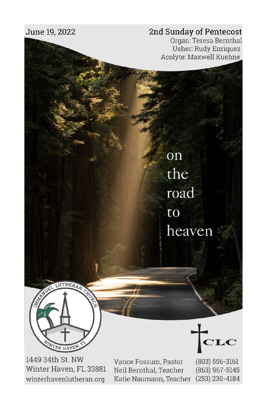## June 19, 2022

## 2nd Sunday of Pentecost

on

the

road

heaven

to

Organ: Teresa Bernthal **Usher: Rudy Enriquez** Acolyte: Maxwell Kuehne



1449 34th St. NW Winter Haven, FL 33881 winterhavenlutheran.org

Vance Fossum, Pastor Neil Bernthal, Teacher Katie Naumann, Teacher

 $(803) 556 - 3161$ (863) 967-5145  $(253)$  230-4184

 $\mathbf{CLC}$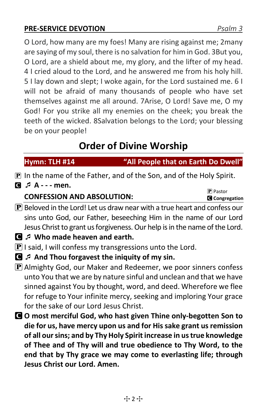## **PRE-SERVICE DEVOTION** *Psalm 3*

O Lord, how many are my foes! Many are rising against me; 2many are saying of my soul, there is no salvation for him in God. 3But you, O Lord, are a shield about me, my glory, and the lifter of my head. 4 I cried aloud to the Lord, and he answered me from his holy hill. 5 I lay down and slept; I woke again, for the Lord sustained me. 6 I will not be afraid of many thousands of people who have set themselves against me all around. 7Arise, O Lord! Save me, O my God! For you strike all my enemies on the cheek; you break the teeth of the wicked. 8Salvation belongs to the Lord; your blessing be on your people!

# **Order of Divine Worship**

## **Hymn: TLH #14 "All People that on Earth Do Dwell"**

- P In the name of the Father, and of the Son, and of the Holy Spirit.
- C **A - men.**

## **CONFESSION AND ABSOLUTION:**

P Pastor C **Congregation**

- $\left| \mathbf{P} \right|$  Beloved in the Lord! Let us draw near with a true heart and confess our sins unto God, our Father, beseeching Him in the name of our Lord Jesus Christ to grant us forgiveness. Our help is in the name of the Lord.
- C **Who made heaven and earth.**
- $\mathbf P$  I said, I will confess my transgressions unto the Lord.
- C **And Thou forgavest the iniquity of my sin.**
- $\mathbf P$  Almighty God, our Maker and Redeemer, we poor sinners confess unto You that we are by nature sinful and unclean and that we have sinned against You by thought, word, and deed. Wherefore we flee for refuge to Your infinite mercy, seeking and imploring Your grace for the sake of our Lord Jesus Christ.
- C **O most merciful God, who hast given Thine only-begotten Son to die for us, have mercy upon us and for His sake grant us remission of all our sins; and by Thy Holy Spirit increase in us true knowledge of Thee and of Thy will and true obedience to Thy Word, to the end that by Thy grace we may come to everlasting life; through Jesus Christ our Lord. Amen.**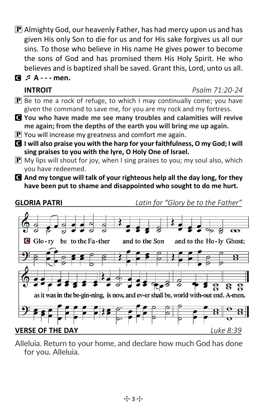$\mathbf P$  Almighty God, our heavenly Father, has had mercy upon us and has given His only Son to die for us and for His sake forgives us all our sins. To those who believe in His name He gives power to become the sons of God and has promised them His Holy Spirit. He who believes and is baptized shall be saved. Grant this, Lord, unto us all.

## C **A - - - men.**

### **INTROIT** *Psalm 71:20-24*

- $\boxed{\mathbf{P}}$  Be to me a rock of refuge, to which I may continually come; you have given the command to save me, for you are my rock and my fortress.
- C **You who have made me see many troubles and calamities will revive me again; from the depths of the earth you will bring me up again.**
- $\mathbf P$  You will increase my greatness and comfort me again.
- C **I will also praise you with the harp for your faithfulness, O my God; I will sing praises to you with the lyre, O Holy One of Israel.**
- $\mathbf{P}$  My lips will shout for joy, when I sing praises to you; my soul also, which you have redeemed.
- C **And my tongue will talk of your righteous help all the day long, for they have been put to shame and disappointed who sought to do me hurt.**



Alleluia. Return to your home, and declare how much God has done for you. Alleluia.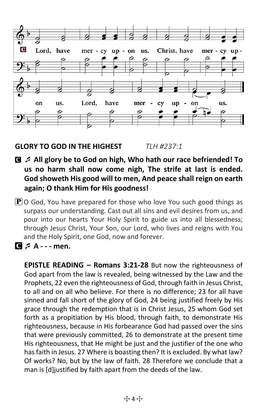

### **GLORY TO GOD IN THE HIGHEST** *TLH #237:1*

- C **All glory be to God on high, Who hath our race befriended! To us no harm shall now come nigh, The strife at last is ended. God showeth His good will to men, And peace shall reign on earth again; O thank Him for His goodness!**
- $\mathbf{P}$  O God, You have prepared for those who love You such good things as surpass our understanding. Cast out all sins and evil desires from us, and pour into our hearts Your Holy Spirit to guide us into all blessedness; through Jesus Christ, Your Son, our Lord, who lives and reigns with You and the Holy Spirit, one God, now and forever.
- C **A - men.**

**EPISTLE READING – Romans 3:21-28** But now the righteousness of God apart from the law is revealed, being witnessed by the Law and the Prophets, 22 even the righteousness of God, through faith in Jesus Christ, to all and on all who believe. For there is no difference; 23 for all have sinned and fall short of the glory of God, 24 being justified freely by His grace through the redemption that is in Christ Jesus, 25 whom God set forth as a propitiation by His blood, through faith, to demonstrate His righteousness, because in His forbearance God had passed over the sins that were previously committed, 26 to demonstrate at the present time His righteousness, that He might be just and the justifier of the one who has faith in Jesus. 27 Where is boasting then? It is excluded. By what law? Of works? No, but by the law of faith. 28 Therefore we conclude that a man is [d]justified by faith apart from the deeds of the law.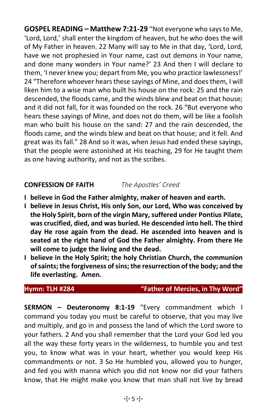**GOSPEL READING – Matthew 7:21-29** "Not everyone who says to Me, 'Lord, Lord,' shall enter the kingdom of heaven, but he who does the will of My Father in heaven. 22 Many will say to Me in that day, 'Lord, Lord, have we not prophesied in Your name, cast out demons in Your name, and done many wonders in Your name?' 23 And then I will declare to them, 'I never knew you; depart from Me, you who practice lawlessness!' 24 "Therefore whoever hears these sayings of Mine, and does them, I will liken him to a wise man who built his house on the rock: 25 and the rain descended, the floods came, and the winds blew and beat on that house; and it did not fall, for it was founded on the rock. 26 "But everyone who hears these sayings of Mine, and does not do them, will be like a foolish man who built his house on the sand: 27 and the rain descended, the floods came, and the winds blew and beat on that house; and it fell. And great was its fall." 28 And so it was, when Jesus had ended these sayings, that the people were astonished at His teaching, 29 for He taught them as one having authority, and not as the scribes.

### **CONFESSION OF FAITH** *The Apostles' Creed*

- **I believe in God the Father almighty, maker of heaven and earth.**
- **I believe in Jesus Christ, His only Son, our Lord, Who was conceived by the Holy Spirit, born of the virgin Mary, suffered under Pontius Pilate, was crucified, died, and was buried. He descended into hell. The third day He rose again from the dead. He ascended into heaven and is seated at the right hand of God the Father almighty. From there He will come to judge the living and the dead.**
- **I believe in the Holy Spirit; the holy Christian Church, the communion of saints; the forgiveness of sins; the resurrection of the body; and the life everlasting. Amen.**

### **Hymn: TLH #284 "Father of Mercies, in Thy Word"**

**SERMON – Deuteronomy 8:1-19** "Every commandment which I command you today you must be careful to observe, that you may live and multiply, and go in and possess the land of which the Lord swore to your fathers. 2 And you shall remember that the Lord your God led you all the way these forty years in the wilderness, to humble you and test you, to know what was in your heart, whether you would keep His commandments or not. 3 So He humbled you, allowed you to hunger, and fed you with manna which you did not know nor did your fathers know, that He might make you know that man shall not live by bread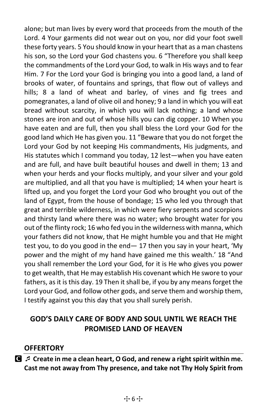alone; but man lives by every word that proceeds from the mouth of the Lord. 4 Your garments did not wear out on you, nor did your foot swell these forty years. 5 You should know in your heart that as a man chastens his son, so the Lord your God chastens you. 6 "Therefore you shall keep the commandments of the Lord your God, to walk in His ways and to fear Him. 7 For the Lord your God is bringing you into a good land, a land of brooks of water, of fountains and springs, that flow out of valleys and hills; 8 a land of wheat and barley, of vines and fig trees and pomegranates, a land of olive oil and honey; 9 a land in which you will eat bread without scarcity, in which you will lack nothing; a land whose stones are iron and out of whose hills you can dig copper. 10 When you have eaten and are full, then you shall bless the Lord your God for the good land which He has given you. 11 "Beware that you do not forget the Lord your God by not keeping His commandments, His judgments, and His statutes which I command you today, 12 lest—when you have eaten and are full, and have built beautiful houses and dwell in them; 13 and when your herds and your flocks multiply, and your silver and your gold are multiplied, and all that you have is multiplied; 14 when your heart is lifted up, and you forget the Lord your God who brought you out of the land of Egypt, from the house of bondage; 15 who led you through that great and terrible wilderness, in which were fiery serpents and scorpions and thirsty land where there was no water; who brought water for you out of the flinty rock; 16 who fed you in the wilderness with manna, which your fathers did not know, that He might humble you and that He might test you, to do you good in the end— 17 then you say in your heart, 'My power and the might of my hand have gained me this wealth.' 18 "And you shall remember the Lord your God, for it is He who gives you power to get wealth, that He may establish His covenant which He swore to your fathers, as it is this day. 19 Then it shall be, if you by any means forget the Lord your God, and follow other gods, and serve them and worship them, I testify against you this day that you shall surely perish.

## **GOD'S DAILY CARE OF BODY AND SOUL UNTIL WE REACH THE PROMISED LAND OF HEAVEN**

### **OFFERTORY**

C **Create in me a clean heart, O God, and renew a right spirit within me. Cast me not away from Thy presence, and take not Thy Holy Spirit from**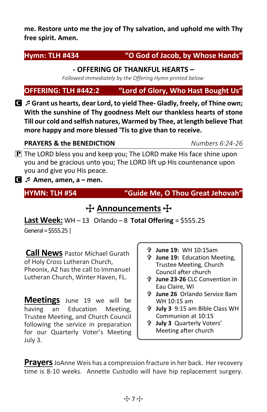**me. Restore unto me the joy of Thy salvation, and uphold me with Thy free spirit. Amen.**

### **Hymn: TLH #434 "O God of Jacob, by Whose Hands"**

### **- OFFERING OF THANKFUL HEARTS –**

*Followed immediately by the Offering Hymn printed below:*

**OFFERING: TLH #442:2 "Lord of Glory, Who Hast Bought Us"**

C **Grant us hearts, dear Lord, to yield Thee- Gladly, freely, of Thine own; With the sunshine of Thy goodness Melt our thankless hearts of stone Till our cold and selfish natures, Warmed by Thee, at length believe That more happy and more blessed 'Tis to give than to receive.**

### **PRAYERS & the BENEDICTION** *Numbers 6:24-26*

 $\bf{P}$  The LORD bless you and keep you; The LORD make His face shine upon you and be gracious unto you; The LORD lift up His countenance upon you and give you His peace.

C **Amen, amen, a – men.** 

**HYMN: TLH #54 "Guide Me, O Thou Great Jehovah"** 

## **十 Announcements** 十

**Last Week:**  $WH - 13$  Orlando  $-8$  Total Offering = \$555.25

General = \$555.25|

**Call News** Pastor Michael Gurath of Holy Cross Lutheran Church, Pheonix, AZ has the call to Immanuel Lutheran Church, Winter Haven, FL.

**Meetings** June 19 we will be having an Education Meeting, Trustee Meeting, and Church Council following the service in preparation for our Quarterly Voter's Meeting July 3.

- **June 19:** WH 10:15am
- **June 19:** Education Meeting, Trustee Meeting, Church Council after church
- **June 23-26** CLC Convention in Eau Claire, WI
- **June 26** Orlando Service 8am WH 10:15 am
- **July 3** 9:15 am Bible Class WH Communion at 10:15
- **July 3** Quarterly Voters' Meeting after church

**Prayers**JoAnne Weis has a compression fracture in her back. Her recovery time is 8-10 weeks. Annette Custodio will have hip replacement surgery.